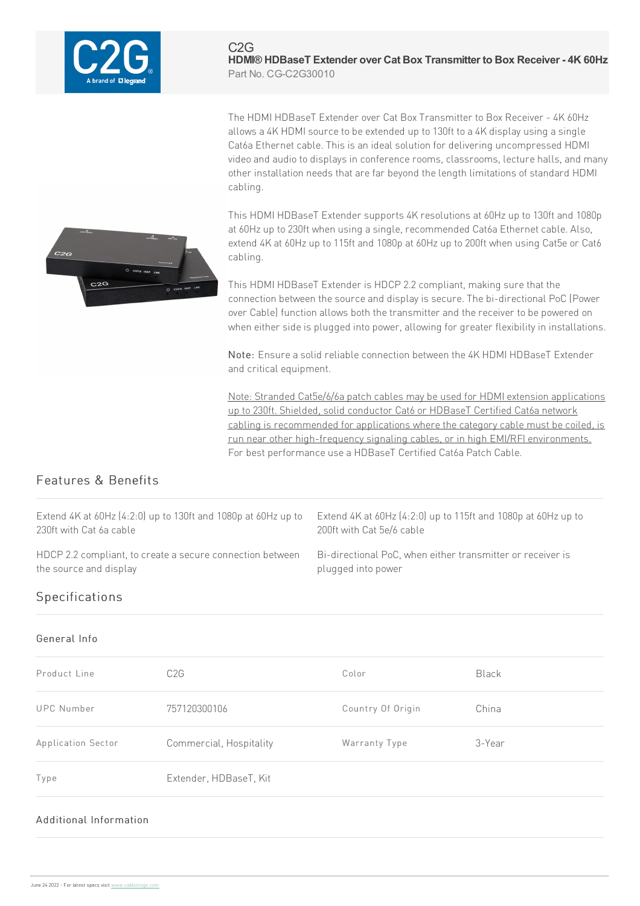

The HDMI HDBaseT Extender over Cat Box Transmitter to Box Receiver - 4K 60Hz allows a 4K HDMI source to be extended up to 130ft to a 4K display using a single Cat6a Ethernet cable. This is an ideal solution for delivering uncompressed HDMI video and audio to displays in conference rooms, classrooms, lecture halls, and many other installation needs that are far beyond the length limitations of standard HDMI cabling.

This HDMI HDBaseT Extender supports 4K resolutions at 60Hz up to 130ft and 1080p at 60Hz up to 230ft when using a single, recommended Cat6a Ethernet cable. Also, extend 4K at 60Hz up to 115ft and 1080p at 60Hz up to 200ft when using Cat5e or Cat6 cabling.

This HDMI HDBaseT Extender is HDCP 2.2 compliant, making sure that the connection between the source and display is secure. The bi-directional PoC (Power over Cable) function allows both the transmitter and the receiver to be powered on when either side is plugged into power, allowing for greater flexibility in installations.

Note: Ensure a solid reliable connection between the 4K HDMI HDBaseT Extender and critical equipment.

Note: Stranded Cat5e/6/6a patch cables may be used for HDMI extension applications up to 230ft. Shielded, solid conductor Cat6 or HDBaseT Certified Cat6a network cabling is recommended for applications where the category cable must be coiled, is run near other high-frequency signaling cables, or in high EMI/RFI environments. For best performance use a HDBaseT Certified Cat6a Patch Cable.



# Features & Benefits

Extend  $4K$  at  $60Hz$   $(4:2:0)$  up to 130ft and 1080p at  $60Hz$  up to 230ft with Cat 6a cable

HDCP 2.2 compliant, to create a secure connection between the source and display

Extend 4K at  $60$ Hz  $(4:2:0)$  up to 115ft and 1080p at  $60$ Hz up to 200ft with Cat 5e/6 cable

Bi-directional PoC, when either transmitter or receiver is plugged into power

# Specifications

#### General Info

| Product Line       | C <sub>2</sub> G        | Color             | Black  |
|--------------------|-------------------------|-------------------|--------|
| <b>UPC Number</b>  | 757120300106            | Country Of Origin | China  |
| Application Sector | Commercial, Hospitality | Warranty Type     | 3-Year |
| Type               | Extender, HDBaseT, Kit  |                   |        |

### Additional Information